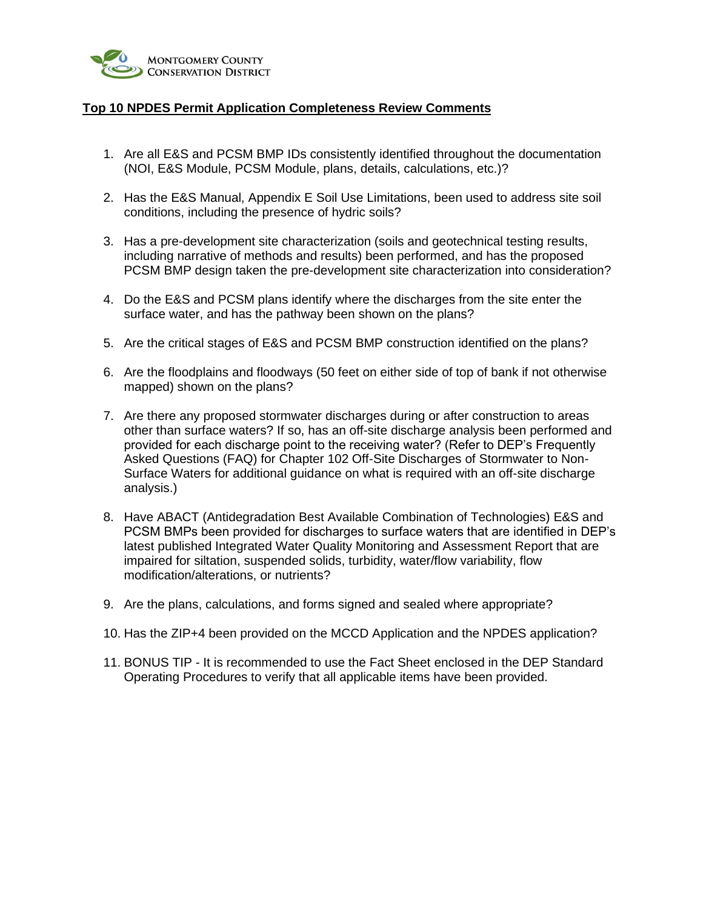

# **Top 10 NPDES Permit Application Completeness Review Comments**

- 1. Are all E&S and PCSM BMP IDs consistently identified throughout the documentation (NOI, E&S Module, PCSM Module, plans, details, calculations, etc.)?
- 2. Has the E&S Manual, Appendix E Soil Use Limitations, been used to address site soil conditions, including the presence of hydric soils?
- 3. Has a pre-development site characterization (soils and geotechnical testing results, including narrative of methods and results) been performed, and has the proposed PCSM BMP design taken the pre-development site characterization into consideration?
- 4. Do the E&S and PCSM plans identify where the discharges from the site enter the surface water, and has the pathway been shown on the plans?
- 5. Are the critical stages of E&S and PCSM BMP construction identified on the plans?
- 6. Are the floodplains and floodways (50 feet on either side of top of bank if not otherwise mapped) shown on the plans?
- 7. Are there any proposed stormwater discharges during or after construction to areas other than surface waters? If so, has an off-site discharge analysis been performed and provided for each discharge point to the receiving water? (Refer to DEP's Frequently Asked Questions (FAQ) for Chapter 102 Off-Site Discharges of Stormwater to Non-Surface Waters for additional guidance on what is required with an off-site discharge analysis.)
- 8. Have ABACT (Antidegradation Best Available Combination of Technologies) E&S and PCSM BMPs been provided for discharges to surface waters that are identified in DEP's latest published Integrated Water Quality Monitoring and Assessment Report that are impaired for siltation, suspended solids, turbidity, water/flow variability, flow modification/alterations, or nutrients?
- 9. Are the plans, calculations, and forms signed and sealed where appropriate?
- 10. Has the ZIP+4 been provided on the MCCD Application and the NPDES application?
- 11. BONUS TIP It is recommended to use the Fact Sheet enclosed in the DEP Standard Operating Procedures to verify that all applicable items have been provided.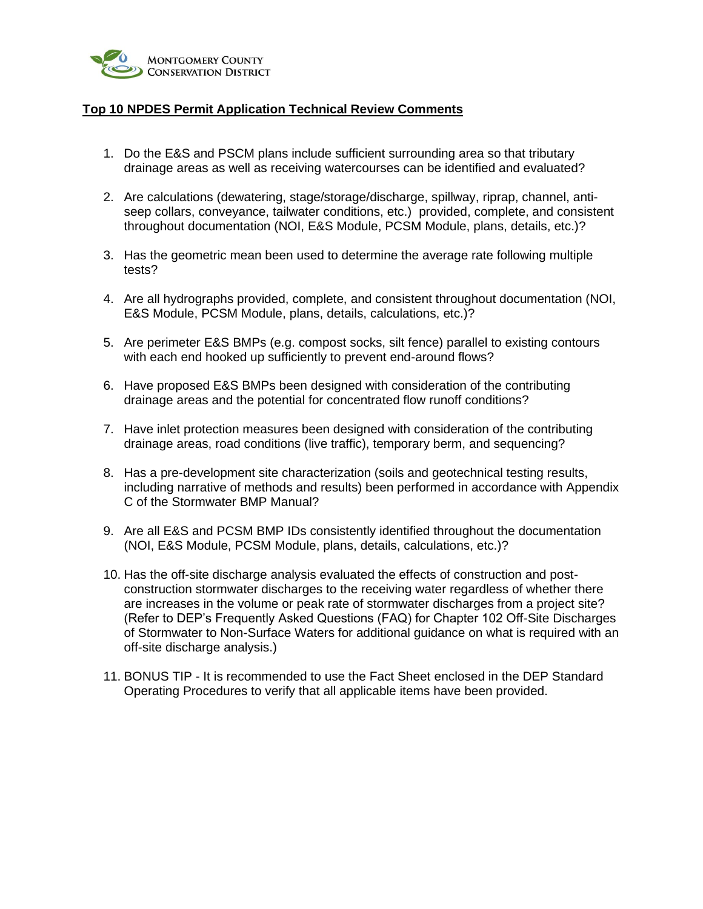

# **Top 10 NPDES Permit Application Technical Review Comments**

- 1. Do the E&S and PSCM plans include sufficient surrounding area so that tributary drainage areas as well as receiving watercourses can be identified and evaluated?
- 2. Are calculations (dewatering, stage/storage/discharge, spillway, riprap, channel, antiseep collars, conveyance, tailwater conditions, etc.) provided, complete, and consistent throughout documentation (NOI, E&S Module, PCSM Module, plans, details, etc.)?
- 3. Has the geometric mean been used to determine the average rate following multiple tests?
- 4. Are all hydrographs provided, complete, and consistent throughout documentation (NOI, E&S Module, PCSM Module, plans, details, calculations, etc.)?
- 5. Are perimeter E&S BMPs (e.g. compost socks, silt fence) parallel to existing contours with each end hooked up sufficiently to prevent end-around flows?
- 6. Have proposed E&S BMPs been designed with consideration of the contributing drainage areas and the potential for concentrated flow runoff conditions?
- 7. Have inlet protection measures been designed with consideration of the contributing drainage areas, road conditions (live traffic), temporary berm, and sequencing?
- 8. Has a pre-development site characterization (soils and geotechnical testing results, including narrative of methods and results) been performed in accordance with Appendix C of the Stormwater BMP Manual?
- 9. Are all E&S and PCSM BMP IDs consistently identified throughout the documentation (NOI, E&S Module, PCSM Module, plans, details, calculations, etc.)?
- 10. Has the off-site discharge analysis evaluated the effects of construction and postconstruction stormwater discharges to the receiving water regardless of whether there are increases in the volume or peak rate of stormwater discharges from a project site? (Refer to DEP's Frequently Asked Questions (FAQ) for Chapter 102 Off-Site Discharges of Stormwater to Non-Surface Waters for additional guidance on what is required with an off-site discharge analysis.)
- 11. BONUS TIP It is recommended to use the Fact Sheet enclosed in the DEP Standard Operating Procedures to verify that all applicable items have been provided.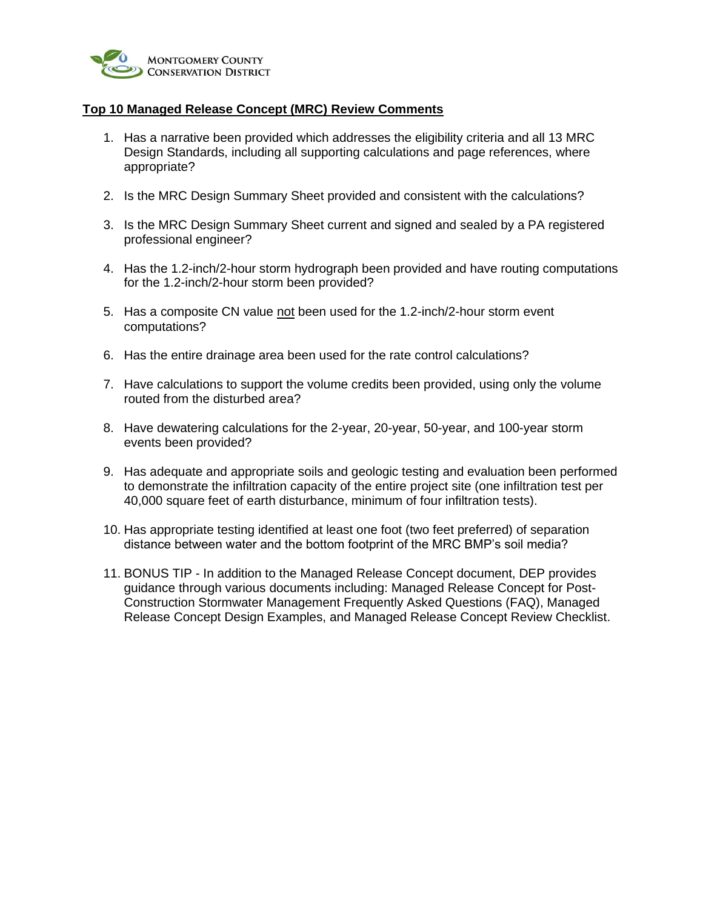

### **Top 10 Managed Release Concept (MRC) Review Comments**

- 1. Has a narrative been provided which addresses the eligibility criteria and all 13 MRC Design Standards, including all supporting calculations and page references, where appropriate?
- 2. Is the MRC Design Summary Sheet provided and consistent with the calculations?
- 3. Is the MRC Design Summary Sheet current and signed and sealed by a PA registered professional engineer?
- 4. Has the 1.2-inch/2-hour storm hydrograph been provided and have routing computations for the 1.2-inch/2-hour storm been provided?
- 5. Has a composite CN value not been used for the 1.2-inch/2-hour storm event computations?
- 6. Has the entire drainage area been used for the rate control calculations?
- 7. Have calculations to support the volume credits been provided, using only the volume routed from the disturbed area?
- 8. Have dewatering calculations for the 2-year, 20-year, 50-year, and 100-year storm events been provided?
- 9. Has adequate and appropriate soils and geologic testing and evaluation been performed to demonstrate the infiltration capacity of the entire project site (one infiltration test per 40,000 square feet of earth disturbance, minimum of four infiltration tests).
- 10. Has appropriate testing identified at least one foot (two feet preferred) of separation distance between water and the bottom footprint of the MRC BMP's soil media?
- 11. BONUS TIP In addition to the Managed Release Concept document, DEP provides guidance through various documents including: Managed Release Concept for Post-Construction Stormwater Management Frequently Asked Questions (FAQ), Managed Release Concept Design Examples, and Managed Release Concept Review Checklist.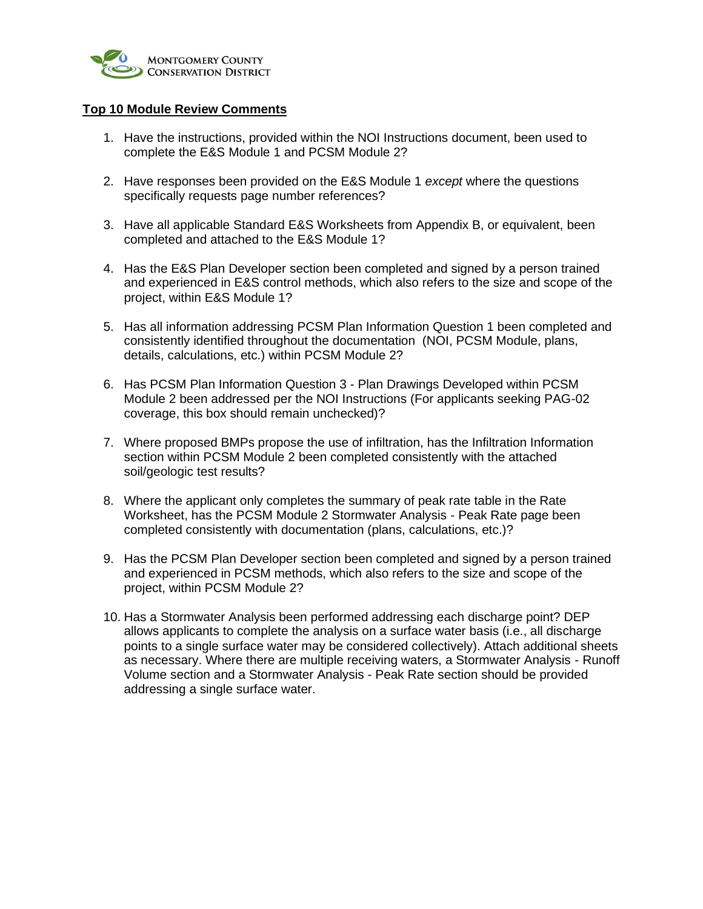

### **Top 10 Module Review Comments**

- 1. Have the instructions, provided within the NOI Instructions document, been used to complete the E&S Module 1 and PCSM Module 2?
- 2. Have responses been provided on the E&S Module 1 *except* where the questions specifically requests page number references?
- 3. Have all applicable Standard E&S Worksheets from Appendix B, or equivalent, been completed and attached to the E&S Module 1?
- 4. Has the E&S Plan Developer section been completed and signed by a person trained and experienced in E&S control methods, which also refers to the size and scope of the project, within E&S Module 1?
- 5. Has all information addressing PCSM Plan Information Question 1 been completed and consistently identified throughout the documentation (NOI, PCSM Module, plans, details, calculations, etc.) within PCSM Module 2?
- 6. Has PCSM Plan Information Question 3 Plan Drawings Developed within PCSM Module 2 been addressed per the NOI Instructions (For applicants seeking PAG-02 coverage, this box should remain unchecked)?
- 7. Where proposed BMPs propose the use of infiltration, has the Infiltration Information section within PCSM Module 2 been completed consistently with the attached soil/geologic test results?
- 8. Where the applicant only completes the summary of peak rate table in the Rate Worksheet, has the PCSM Module 2 Stormwater Analysis - Peak Rate page been completed consistently with documentation (plans, calculations, etc.)?
- 9. Has the PCSM Plan Developer section been completed and signed by a person trained and experienced in PCSM methods, which also refers to the size and scope of the project, within PCSM Module 2?
- 10. Has a Stormwater Analysis been performed addressing each discharge point? DEP allows applicants to complete the analysis on a surface water basis (i.e., all discharge points to a single surface water may be considered collectively). Attach additional sheets as necessary. Where there are multiple receiving waters, a Stormwater Analysis - Runoff Volume section and a Stormwater Analysis - Peak Rate section should be provided addressing a single surface water.